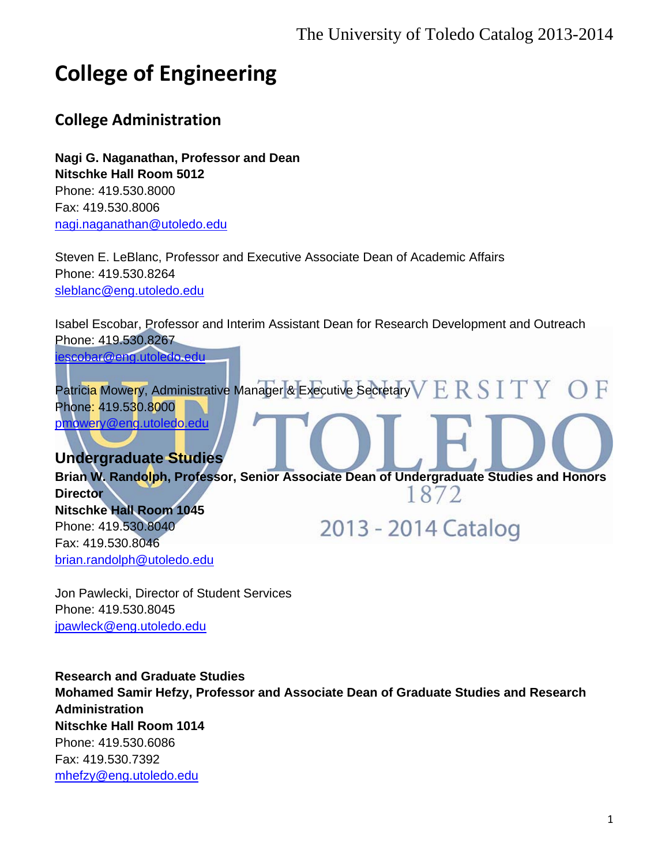## **College of Engineering**

### **College Administration**

#### **Nagi G. Naganathan, Professor and Dean Nitschke Hall Room 5012** Phone: 419.530.8000 Fax: 419.530.8006 nagi.naganathan@utoledo.edu

Steven E. LeBlanc, Professor and Executive Associate Dean of Academic Affairs Phone: 419.530.8264 sleblanc@eng.utoledo.edu

Isabel Escobar, Professor and Interim Assistant Dean for Research Development and Outreach Phone: 419.530.8267 iescobar@eng.utoledo.edu



2013 - 2014 Catalog

Jon Pawlecki, Director of Student Services Phone: 419.530.8045 jpawleck@eng.utoledo.edu

Phone: 419.530.8040 Fax: 419.530.8046

brian.randolph@utoledo.edu

**Research and Graduate Studies Mohamed Samir Hefzy, Professor and Associate Dean of Graduate Studies and Research Administration Nitschke Hall Room 1014**  Phone: 419.530.6086 Fax: 419.530.7392 mhefzy@eng.utoledo.edu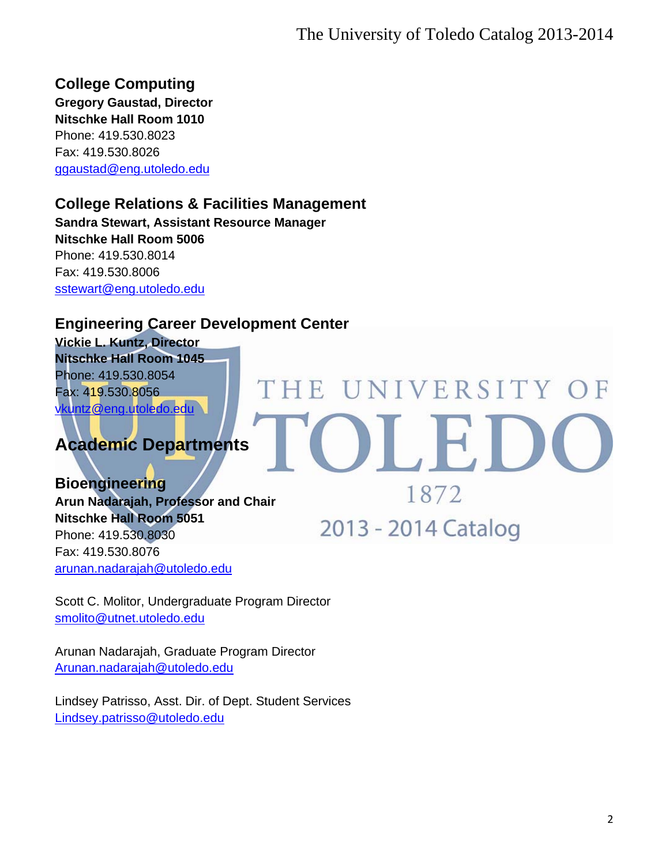THE UNIVERSITY OF

1872

2013 - 2014 Catalog

**College Computing Gregory Gaustad, Director Nitschke Hall Room 1010**  Phone: 419.530.8023 Fax: 419.530.8026 ggaustad@eng.utoledo.edu

#### **College Relations & Facilities Management**

**Sandra Stewart, Assistant Resource Manager Nitschke Hall Room 5006**  Phone: 419.530.8014 Fax: 419.530.8006 sstewart@eng.utoledo.edu

**Engineering Career Development Center** 

**Vickie L. Kuntz, Director Nitschke Hall Room 1045**  Phone: 419.530.8054 Fax: 419.530.8056 vkuntz@eng.utoledo.edu

## **Academic Departments**

**Bioengineering Arun Nadarajah, Professor and Chair Nitschke Hall Room 5051**  Phone: 419.530.8030 Fax: 419.530.8076 arunan.nadarajah@utoledo.edu

Scott C. Molitor, Undergraduate Program Director smolito@utnet.utoledo.edu

Arunan Nadarajah, Graduate Program Director Arunan.nadarajah@utoledo.edu

Lindsey Patrisso, Asst. Dir. of Dept. Student Services Lindsey.patrisso@utoledo.edu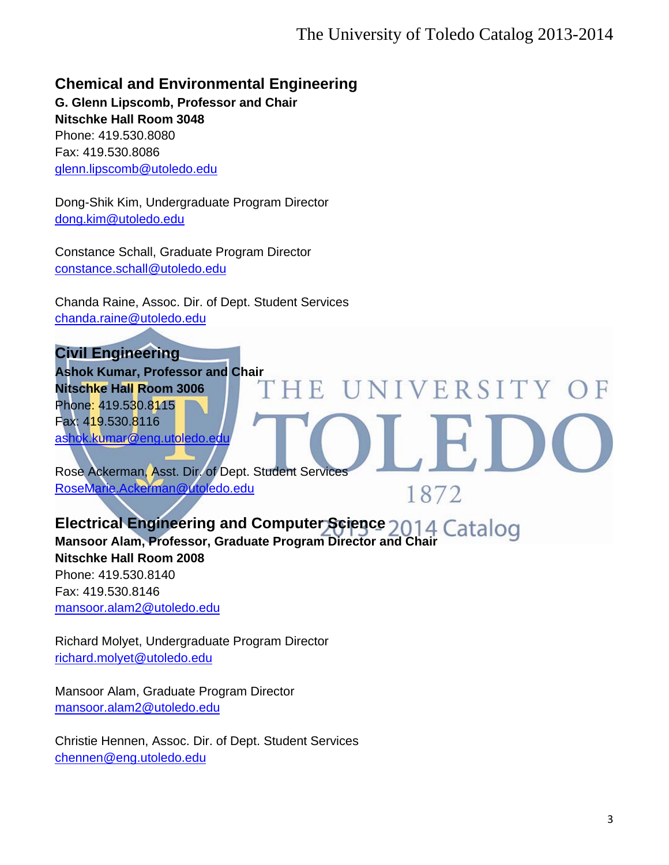1872

**Chemical and Environmental Engineering G. Glenn Lipscomb, Professor and Chair Nitschke Hall Room 3048**  Phone: 419.530.8080 Fax: 419.530.8086 glenn.lipscomb@utoledo.edu

Dong-Shik Kim, Undergraduate Program Director dong.kim@utoledo.edu

Constance Schall, Graduate Program Director constance.schall@utoledo.edu

Chanda Raine, Assoc. Dir. of Dept. Student Services chanda.raine@utoledo.edu

**Civil Engineering** 

**Ashok Kumar, Professor and Chair Nitschke Hall Room 3006**  Phone: 419.530.8115 Fax: 419.530.8116 ashok.kumar@eng.utoledo.edu

Rose Ackerman, Asst. Dir. of Dept. Student Services RoseMarie.Ackerman@utoledo.edu

**Electrical Engineering and Computer Science 2014 Catalog Mansoor Alam, Professor, Graduate Program Director and Chair Nitschke Hall Room 2008**  Phone: 419.530.8140 Fax: 419.530.8146 mansoor.alam2@utoledo.edu

Richard Molyet, Undergraduate Program Director richard.molyet@utoledo.edu

Mansoor Alam, Graduate Program Director mansoor.alam2@utoledo.edu

Christie Hennen, Assoc. Dir. of Dept. Student Services chennen@eng.utoledo.edu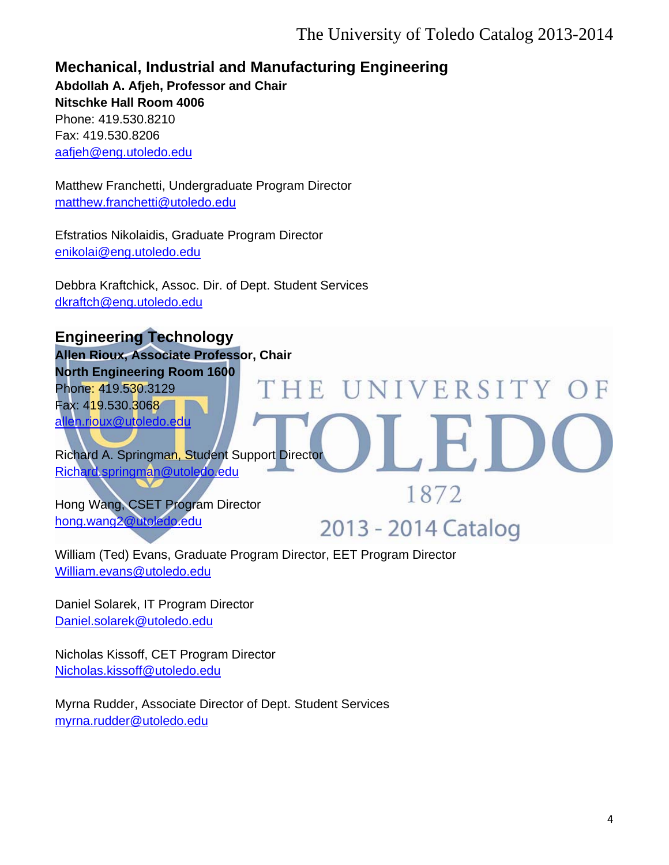**Mechanical, Industrial and Manufacturing Engineering Abdollah A. Afjeh, Professor and Chair Nitschke Hall Room 4006**  Phone: 419.530.8210 Fax: 419.530.8206 aafjeh@eng.utoledo.edu

Matthew Franchetti, Undergraduate Program Director matthew.franchetti@utoledo.edu

Efstratios Nikolaidis, Graduate Program Director enikolai@eng.utoledo.edu

Debbra Kraftchick, Assoc. Dir. of Dept. Student Services dkraftch@eng.utoledo.edu

#### **Engineering Technology**

**Allen Rioux, Associate Professor, Chair** 

**North Engineering Room 1600**  Phone: 419.530.3129 Fax: 419.530.3068 allen.rioux@utoledo.edu

Richard A. Springman, Student Support Director Richard.springman@utoledo.edu

Hong Wang, CSET Program Director hong.wang2@utoledo.edu

2013 - 2014 Catalog

1872

THE UNIVERSITY OF

William (Ted) Evans, Graduate Program Director, EET Program Director William.evans@utoledo.edu

Daniel Solarek, IT Program Director Daniel.solarek@utoledo.edu

Nicholas Kissoff, CET Program Director Nicholas.kissoff@utoledo.edu

Myrna Rudder, Associate Director of Dept. Student Services myrna.rudder@utoledo.edu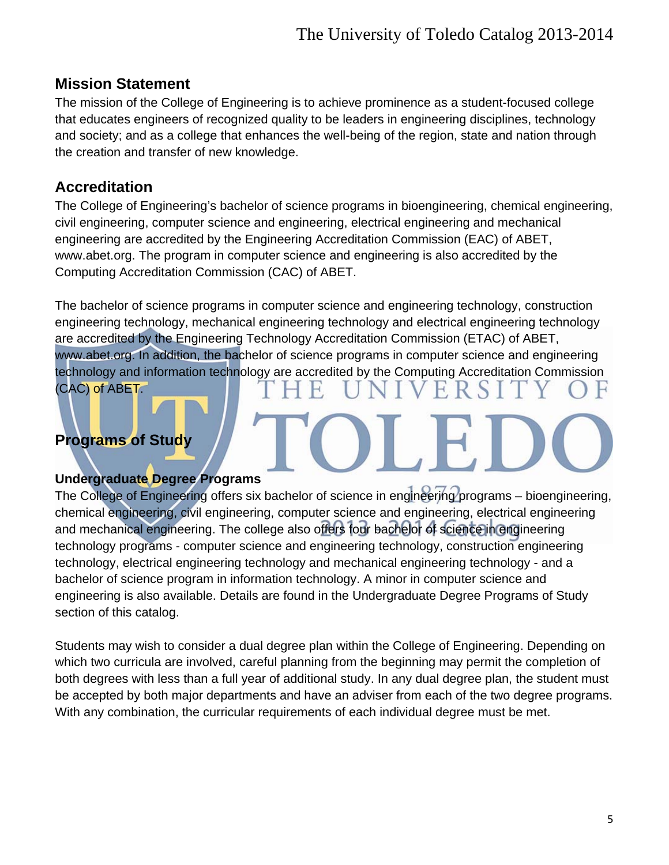#### **Mission Statement**

The mission of the College of Engineering is to achieve prominence as a student-focused college that educates engineers of recognized quality to be leaders in engineering disciplines, technology and society; and as a college that enhances the well-being of the region, state and nation through the creation and transfer of new knowledge.

#### **Accreditation**

The College of Engineering's bachelor of science programs in bioengineering, chemical engineering, civil engineering, computer science and engineering, electrical engineering and mechanical engineering are accredited by the Engineering Accreditation Commission (EAC) of ABET, www.abet.org. The program in computer science and engineering is also accredited by the Computing Accreditation Commission (CAC) of ABET.

The bachelor of science programs in computer science and engineering technology, construction engineering technology, mechanical engineering technology and electrical engineering technology are accredited by the Engineering Technology Accreditation Commission (ETAC) of ABET, www.abet.org. In addition, the bachelor of science programs in computer science and engineering technology and information technology are accredited by the Computing Accreditation Commission (CAC) of ABET.

## **Programs of Study**

#### **Undergraduate Degree Programs**

The College of Engineering offers six bachelor of science in engineering programs – bioengineering, chemical engineering, civil engineering, computer science and engineering, electrical engineering and mechanical engineering. The college also offers four bachelor of science in engineering technology programs - computer science and engineering technology, construction engineering technology, electrical engineering technology and mechanical engineering technology - and a bachelor of science program in information technology. A minor in computer science and engineering is also available. Details are found in the Undergraduate Degree Programs of Study section of this catalog.

Students may wish to consider a dual degree plan within the College of Engineering. Depending on which two curricula are involved, careful planning from the beginning may permit the completion of both degrees with less than a full year of additional study. In any dual degree plan, the student must be accepted by both major departments and have an adviser from each of the two degree programs. With any combination, the curricular requirements of each individual degree must be met.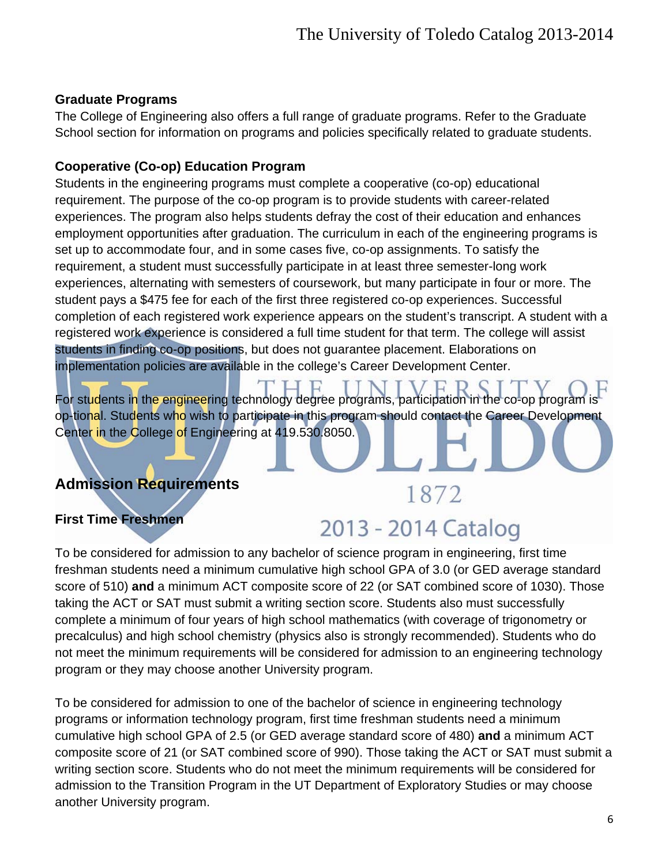#### **Graduate Programs**

The College of Engineering also offers a full range of graduate programs. Refer to the Graduate School section for information on programs and policies specifically related to graduate students.

#### **Cooperative (Co-op) Education Program**

Students in the engineering programs must complete a cooperative (co-op) educational requirement. The purpose of the co-op program is to provide students with career-related experiences. The program also helps students defray the cost of their education and enhances employment opportunities after graduation. The curriculum in each of the engineering programs is set up to accommodate four, and in some cases five, co-op assignments. To satisfy the requirement, a student must successfully participate in at least three semester-long work experiences, alternating with semesters of coursework, but many participate in four or more. The student pays a \$475 fee for each of the first three registered co-op experiences. Successful completion of each registered work experience appears on the student's transcript. A student with a registered work experience is considered a full time student for that term. The college will assist students in finding co-op positions, but does not guarantee placement. Elaborations on implementation policies are available in the college's Career Development Center.

Ι For students in the engineering technology degree programs, participation in the co-op program is op-tional. Students who wish to participate in this program should contact the Career Development Center in the College of Engineering at 419.530.8050.

### **Admission Requirements**

**First Time Freshmen** 

# 2013 - 2014 Catalog

1872

To be considered for admission to any bachelor of science program in engineering, first time freshman students need a minimum cumulative high school GPA of 3.0 (or GED average standard score of 510) **and** a minimum ACT composite score of 22 (or SAT combined score of 1030). Those taking the ACT or SAT must submit a writing section score. Students also must successfully complete a minimum of four years of high school mathematics (with coverage of trigonometry or precalculus) and high school chemistry (physics also is strongly recommended). Students who do not meet the minimum requirements will be considered for admission to an engineering technology program or they may choose another University program.

To be considered for admission to one of the bachelor of science in engineering technology programs or information technology program, first time freshman students need a minimum cumulative high school GPA of 2.5 (or GED average standard score of 480) **and** a minimum ACT composite score of 21 (or SAT combined score of 990). Those taking the ACT or SAT must submit a writing section score. Students who do not meet the minimum requirements will be considered for admission to the Transition Program in the UT Department of Exploratory Studies or may choose another University program.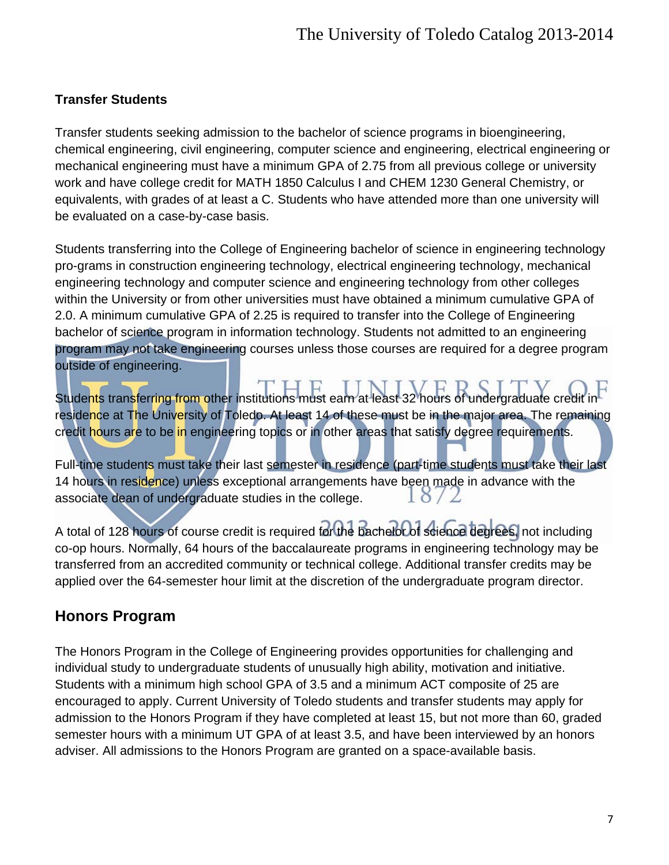#### **Transfer Students**

Transfer students seeking admission to the bachelor of science programs in bioengineering, chemical engineering, civil engineering, computer science and engineering, electrical engineering or mechanical engineering must have a minimum GPA of 2.75 from all previous college or university work and have college credit for MATH 1850 Calculus I and CHEM 1230 General Chemistry, or equivalents, with grades of at least a C. Students who have attended more than one university will be evaluated on a case-by-case basis.

Students transferring into the College of Engineering bachelor of science in engineering technology pro-grams in construction engineering technology, electrical engineering technology, mechanical engineering technology and computer science and engineering technology from other colleges within the University or from other universities must have obtained a minimum cumulative GPA of 2.0. A minimum cumulative GPA of 2.25 is required to transfer into the College of Engineering bachelor of science program in information technology. Students not admitted to an engineering program may not take engineering courses unless those courses are required for a degree program outside of engineering.

Ι Students transferring from other institutions must earn at least 32 hours of undergraduate credit in residence at The University of Toledo. At least 14 of these must be in the major area. The remaining credit hours are to be in engineering topics or in other areas that satisfy degree requirements.

Full-time students must take their last semester in residence (part-time students must take their last 14 hours in residence) unless exceptional arrangements have been made in advance with the associate dean of undergraduate studies in the college.

A total of 128 hours of course credit is required for the bachelor of science degrees, not including co-op hours. Normally, 64 hours of the baccalaureate programs in engineering technology may be transferred from an accredited community or technical college. Additional transfer credits may be applied over the 64-semester hour limit at the discretion of the undergraduate program director.

#### **Honors Program**

The Honors Program in the College of Engineering provides opportunities for challenging and individual study to undergraduate students of unusually high ability, motivation and initiative. Students with a minimum high school GPA of 3.5 and a minimum ACT composite of 25 are encouraged to apply. Current University of Toledo students and transfer students may apply for admission to the Honors Program if they have completed at least 15, but not more than 60, graded semester hours with a minimum UT GPA of at least 3.5, and have been interviewed by an honors adviser. All admissions to the Honors Program are granted on a space-available basis.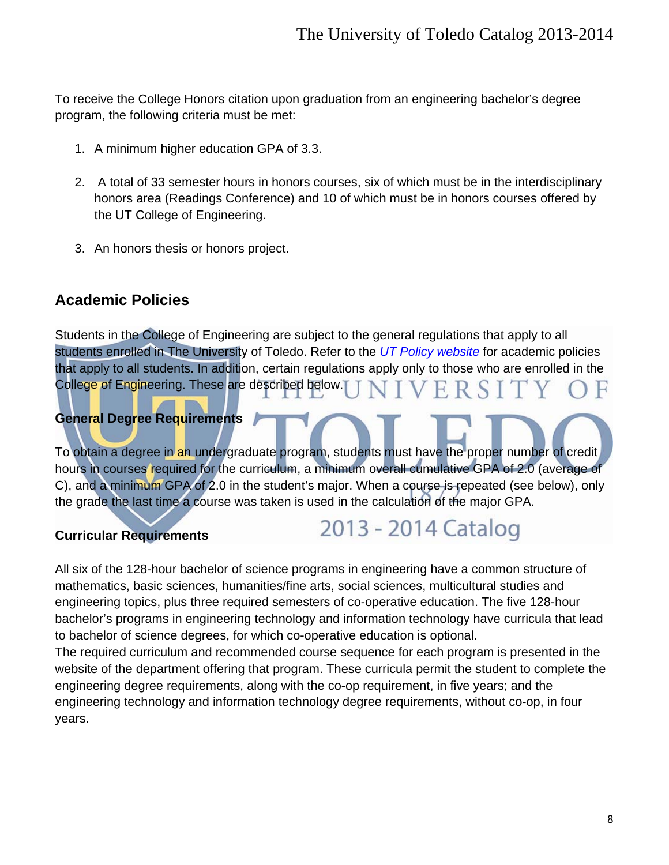To receive the College Honors citation upon graduation from an engineering bachelor's degree program, the following criteria must be met:

- 1. A minimum higher education GPA of 3.3.
- 2. A total of 33 semester hours in honors courses, six of which must be in the interdisciplinary honors area (Readings Conference) and 10 of which must be in honors courses offered by the UT College of Engineering.
- 3. An honors thesis or honors project.

#### **Academic Policies**

Students in the College of Engineering are subject to the general regulations that apply to all students enrolled in The University of Toledo. Refer to the *UT Policy website* for academic policies that apply to all students. In addition, certain regulations apply only to those who are enrolled in the College of Engineering. These are described below. H.

#### **General Degree Requirements**

To obtain a degree in an undergraduate program, students must have the proper number of credit hours in courses required for the curriculum, a minimum overall cumulative GPA of 2.0 (average of C), and a minimum GPA of 2.0 in the student's major. When a course is repeated (see below), only the grade the last time a course was taken is used in the calculation of the major GPA.

2013 - 2014 Catalog

#### **Curricular Requirements**

All six of the 128-hour bachelor of science programs in engineering have a common structure of mathematics, basic sciences, humanities/fine arts, social sciences, multicultural studies and engineering topics, plus three required semesters of co-operative education. The five 128-hour bachelor's programs in engineering technology and information technology have curricula that lead to bachelor of science degrees, for which co-operative education is optional.

The required curriculum and recommended course sequence for each program is presented in the website of the department offering that program. These curricula permit the student to complete the engineering degree requirements, along with the co-op requirement, in five years; and the engineering technology and information technology degree requirements, without co-op, in four years.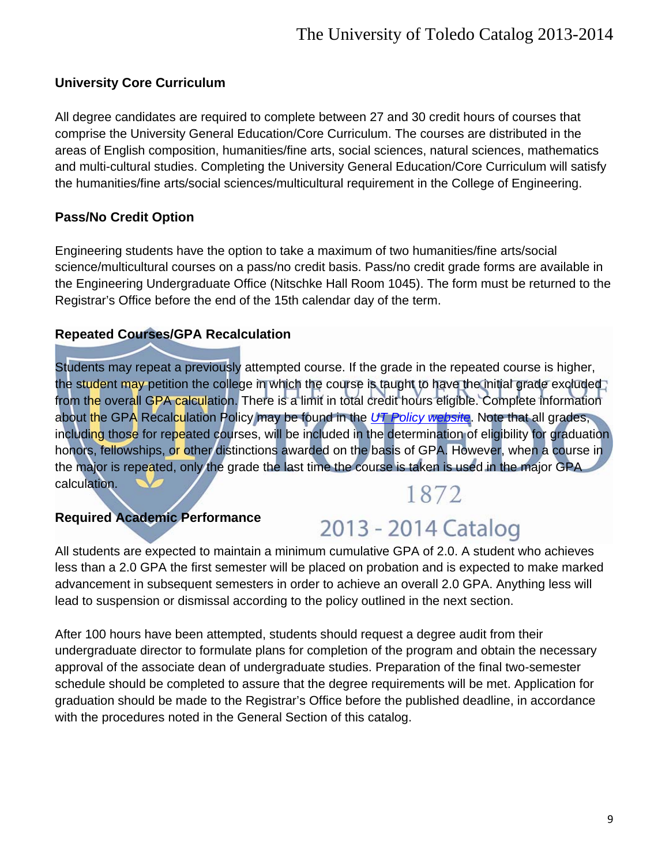#### **University Core Curriculum**

All degree candidates are required to complete between 27 and 30 credit hours of courses that comprise the University General Education/Core Curriculum. The courses are distributed in the areas of English composition, humanities/fine arts, social sciences, natural sciences, mathematics and multi-cultural studies. Completing the University General Education/Core Curriculum will satisfy the humanities/fine arts/social sciences/multicultural requirement in the College of Engineering.

#### **Pass/No Credit Option**

Engineering students have the option to take a maximum of two humanities/fine arts/social science/multicultural courses on a pass/no credit basis. Pass/no credit grade forms are available in the Engineering Undergraduate Office (Nitschke Hall Room 1045). The form must be returned to the Registrar's Office before the end of the 15th calendar day of the term.

#### **Repeated Courses/GPA Recalculation**

Students may repeat a previously attempted course. If the grade in the repeated course is higher, the student may petition the college in which the course is taught to have the initial grade excluded. from the overall GPA calculation. There is a limit in total credit hours eligible. Complete information about the GPA Recalculation Policy may be found in the *UT Policy website*. Note that all grades, including those for repeated courses, will be included in the determination of eligibility for graduation honors, fellowships, or other distinctions awarded on the basis of GPA. However, when a course in the major is repeated, only the grade the last time the course is taken is used in the major GPA calculation.

## 1872

#### **Required Academic Performance**

## 2013 - 2014 Catalog

All students are expected to maintain a minimum cumulative GPA of 2.0. A student who achieves less than a 2.0 GPA the first semester will be placed on probation and is expected to make marked advancement in subsequent semesters in order to achieve an overall 2.0 GPA. Anything less will lead to suspension or dismissal according to the policy outlined in the next section.

After 100 hours have been attempted, students should request a degree audit from their undergraduate director to formulate plans for completion of the program and obtain the necessary approval of the associate dean of undergraduate studies. Preparation of the final two-semester schedule should be completed to assure that the degree requirements will be met. Application for graduation should be made to the Registrar's Office before the published deadline, in accordance with the procedures noted in the General Section of this catalog.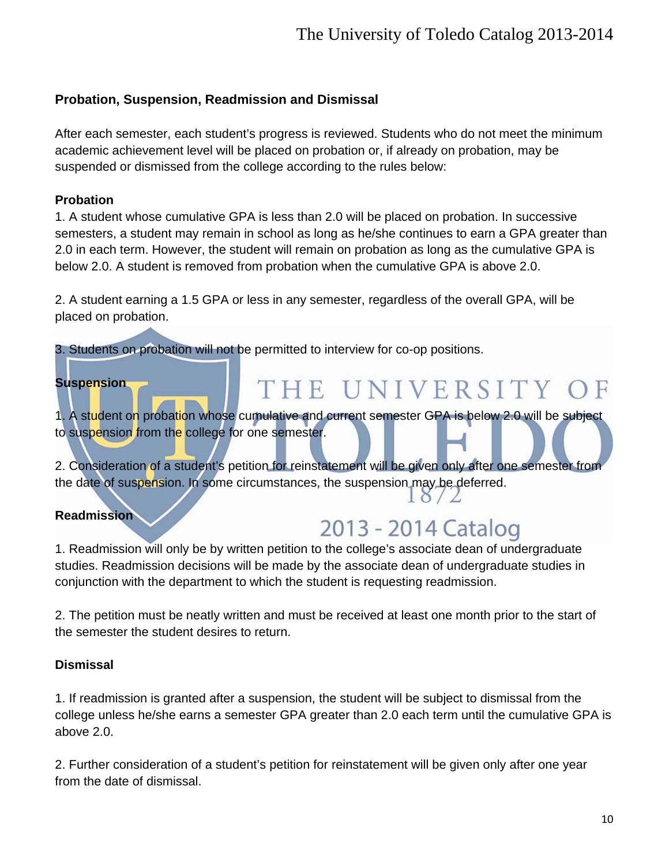#### **Probation, Suspension, Readmission and Dismissal**

After each semester, each student's progress is reviewed. Students who do not meet the minimum academic achievement level will be placed on probation or, if already on probation, may be suspended or dismissed from the college according to the rules below:

#### **Probation**

1. A student whose cumulative GPA is less than 2.0 will be placed on probation. In successive semesters, a student may remain in school as long as he/she continues to earn a GPA greater than 2.0 in each term. However, the student will remain on probation as long as the cumulative GPA is below 2.0. A student is removed from probation when the cumulative GPA is above 2.0.

2. A student earning a 1.5 GPA or less in any semester, regardless of the overall GPA, will be placed on probation.

3. Students on probation will not be permitted to interview for co-op positions.

#### **Suspension**

THE UNIVERSITY (

1. A student on probation whose cumulative and current semester GPA is below 2.0 will be subject to suspension from the college for one semester.

2. Consideration of a student's petition for reinstatement will be given only after one semester from the date of suspension. In some circumstances, the suspension may be deferred.

#### **Readmission**

## 2013 - 2014 Catalog

1. Readmission will only be by written petition to the college's associate dean of undergraduate studies. Readmission decisions will be made by the associate dean of undergraduate studies in conjunction with the department to which the student is requesting readmission.

2. The petition must be neatly written and must be received at least one month prior to the start of the semester the student desires to return.

#### **Dismissal**

1. If readmission is granted after a suspension, the student will be subject to dismissal from the college unless he/she earns a semester GPA greater than 2.0 each term until the cumulative GPA is above 2.0.

2. Further consideration of a student's petition for reinstatement will be given only after one year from the date of dismissal.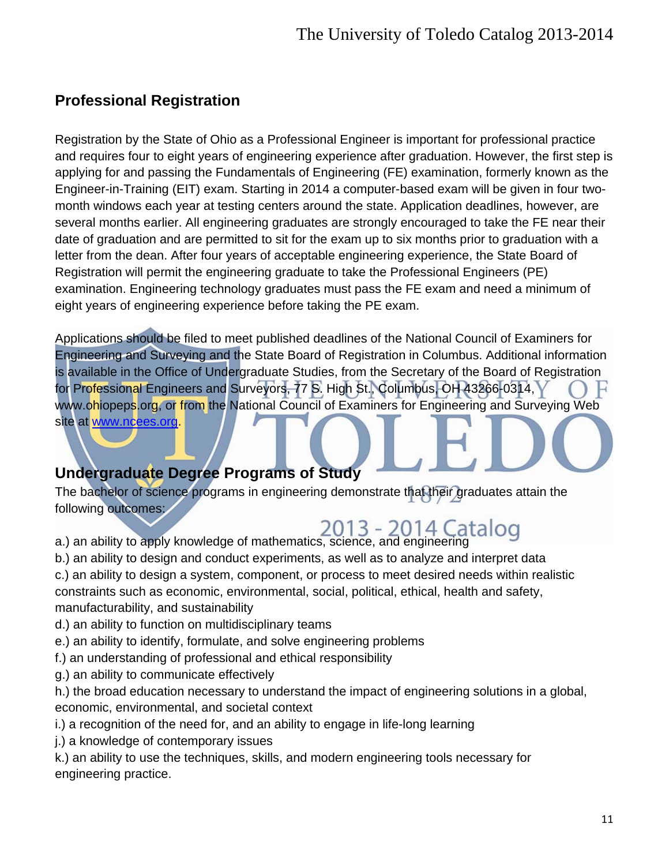### **Professional Registration**

Registration by the State of Ohio as a Professional Engineer is important for professional practice and requires four to eight years of engineering experience after graduation. However, the first step is applying for and passing the Fundamentals of Engineering (FE) examination, formerly known as the Engineer-in-Training (EIT) exam. Starting in 2014 a computer-based exam will be given in four twomonth windows each year at testing centers around the state. Application deadlines, however, are several months earlier. All engineering graduates are strongly encouraged to take the FE near their date of graduation and are permitted to sit for the exam up to six months prior to graduation with a letter from the dean. After four years of acceptable engineering experience, the State Board of Registration will permit the engineering graduate to take the Professional Engineers (PE) examination. Engineering technology graduates must pass the FE exam and need a minimum of eight years of engineering experience before taking the PE exam.

Applications should be filed to meet published deadlines of the National Council of Examiners for Engineering and Surveying and the State Board of Registration in Columbus. Additional information is available in the Office of Undergraduate Studies, from the Secretary of the Board of Registration for Professional Engineers and Surveyors, 77 S. High St., Columbus, OH 43266-0314, V www.ohiopeps.org, or from the National Council of Examiners for Engineering and Surveying Web site at www.ncees.org.

## **Undergraduate Degree Programs of Study**

The bachelor of science programs in engineering demonstrate that their graduates attain the following outcomes:

#### Catalog 2013 - 2014 (

- a.) an ability to apply knowledge of mathematics, science, and engineering
- b.) an ability to design and conduct experiments, as well as to analyze and interpret data
- c.) an ability to design a system, component, or process to meet desired needs within realistic constraints such as economic, environmental, social, political, ethical, health and safety,
- manufacturability, and sustainability
- d.) an ability to function on multidisciplinary teams
- e.) an ability to identify, formulate, and solve engineering problems
- f.) an understanding of professional and ethical responsibility
- g.) an ability to communicate effectively
- h.) the broad education necessary to understand the impact of engineering solutions in a global, economic, environmental, and societal context
- i.) a recognition of the need for, and an ability to engage in life-long learning
- j.) a knowledge of contemporary issues
- k.) an ability to use the techniques, skills, and modern engineering tools necessary for engineering practice.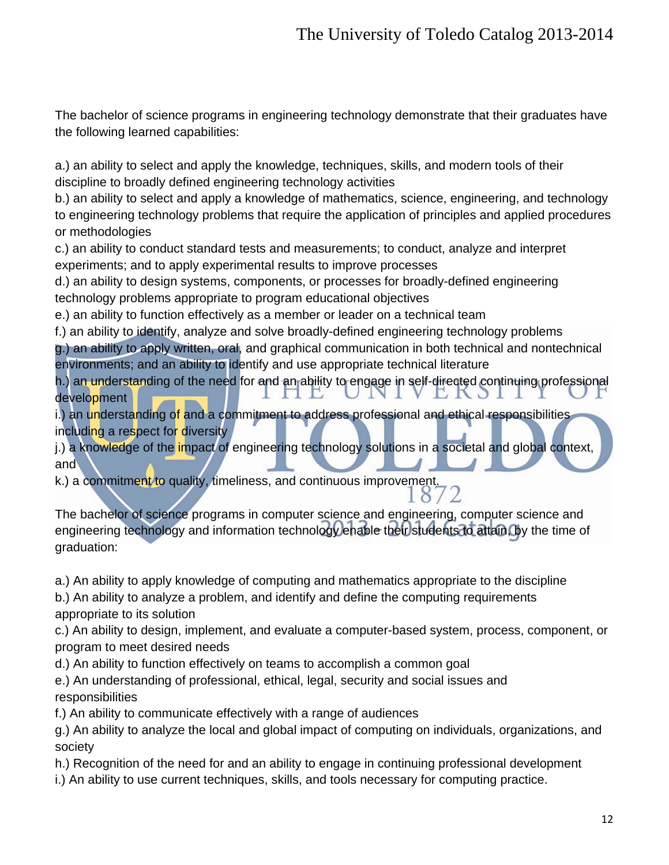The bachelor of science programs in engineering technology demonstrate that their graduates have the following learned capabilities:

a.) an ability to select and apply the knowledge, techniques, skills, and modern tools of their discipline to broadly defined engineering technology activities

b.) an ability to select and apply a knowledge of mathematics, science, engineering, and technology to engineering technology problems that require the application of principles and applied procedures or methodologies

c.) an ability to conduct standard tests and measurements; to conduct, analyze and interpret experiments; and to apply experimental results to improve processes

d.) an ability to design systems, components, or processes for broadly-defined engineering technology problems appropriate to program educational objectives

e.) an ability to function effectively as a member or leader on a technical team

f.) an ability to identify, analyze and solve broadly-defined engineering technology problems

g.) an ability to apply written, oral, and graphical communication in both technical and nontechnical environments; and an ability to identify and use appropriate technical literature

h.) an understanding of the need for and an ability to engage in self-directed continuing professional D LNOI development

i.) an understanding of and a commitment to address professional and ethical responsibilities including a respect for diversity

j.) a knowledge of the impact of engineering technology solutions in a societal and global context, and

గ

k.) a commitment to quality, timeliness, and continuous improvement.

The bachelor of science programs in computer science and engineering, computer science and engineering technology and information technology enable their students to attain, by the time of graduation:

a.) An ability to apply knowledge of computing and mathematics appropriate to the discipline

b.) An ability to analyze a problem, and identify and define the computing requirements appropriate to its solution

c.) An ability to design, implement, and evaluate a computer-based system, process, component, or program to meet desired needs

d.) An ability to function effectively on teams to accomplish a common goal

e.) An understanding of professional, ethical, legal, security and social issues and responsibilities

f.) An ability to communicate effectively with a range of audiences

g.) An ability to analyze the local and global impact of computing on individuals, organizations, and society

h.) Recognition of the need for and an ability to engage in continuing professional development

i.) An ability to use current techniques, skills, and tools necessary for computing practice.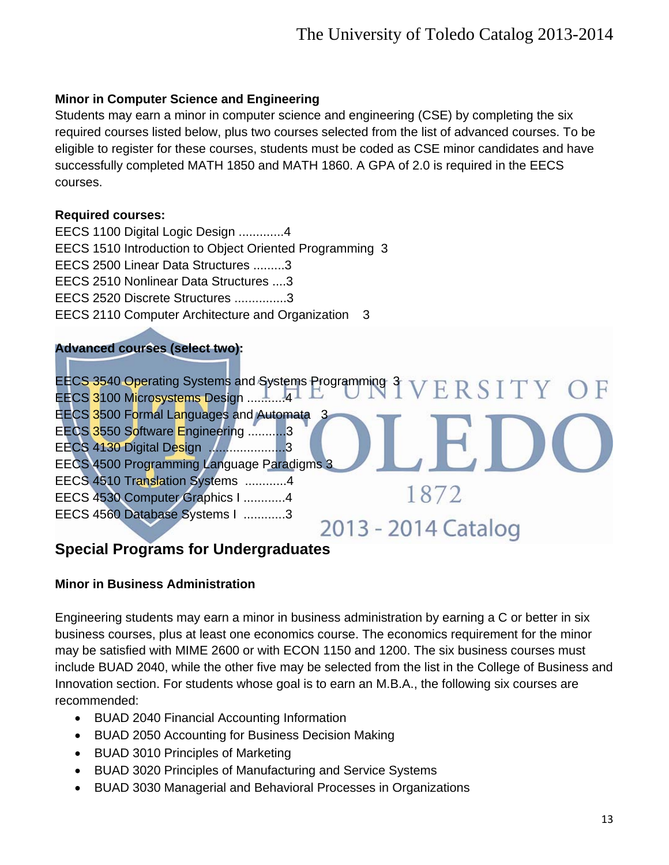#### **Minor in Computer Science and Engineering**

Students may earn a minor in computer science and engineering (CSE) by completing the six required courses listed below, plus two courses selected from the list of advanced courses. To be eligible to register for these courses, students must be coded as CSE minor candidates and have successfully completed MATH 1850 and MATH 1860. A GPA of 2.0 is required in the EECS courses.

#### **Required courses:**

EECS 1100 Digital Logic Design .............4 EECS 1510 Introduction to Object Oriented Programming 3 EECS 2500 Linear Data Structures .........3 EECS 2510 Nonlinear Data Structures ....3 EECS 2520 Discrete Structures ...............3 EECS 2110 Computer Architecture and Organization 3

#### **Advanced courses (select two):**

|  | EECS 3540 Operating Systems and Systems Programming 3 $VERSITY$ O F |    |                     |  |
|--|---------------------------------------------------------------------|----|---------------------|--|
|  | EECS 3100 Microsystems Design                                       | 4日 |                     |  |
|  | EECS 3500 Formal Languages and Automata                             |    |                     |  |
|  | EECS 3550 Software Engineering 3                                    |    |                     |  |
|  | EECS 4130 Digital Design 3                                          |    |                     |  |
|  | EECS 4500 Programming Language Paradigms 3                          |    |                     |  |
|  | EECS 4510 Translation Systems 4                                     |    |                     |  |
|  | EECS 4530 Computer Graphics I 4                                     |    | 1872                |  |
|  | EECS 4560 Database Systems I 3                                      |    |                     |  |
|  |                                                                     |    | 2013 - 2014 Catalog |  |

## **Special Programs for Undergraduates**

#### **Minor in Business Administration**

Engineering students may earn a minor in business administration by earning a C or better in six business courses, plus at least one economics course. The economics requirement for the minor may be satisfied with MIME 2600 or with ECON 1150 and 1200. The six business courses must include BUAD 2040, while the other five may be selected from the list in the College of Business and Innovation section. For students whose goal is to earn an M.B.A., the following six courses are recommended:

- BUAD 2040 Financial Accounting Information
- BUAD 2050 Accounting for Business Decision Making
- BUAD 3010 Principles of Marketing
- BUAD 3020 Principles of Manufacturing and Service Systems
- BUAD 3030 Managerial and Behavioral Processes in Organizations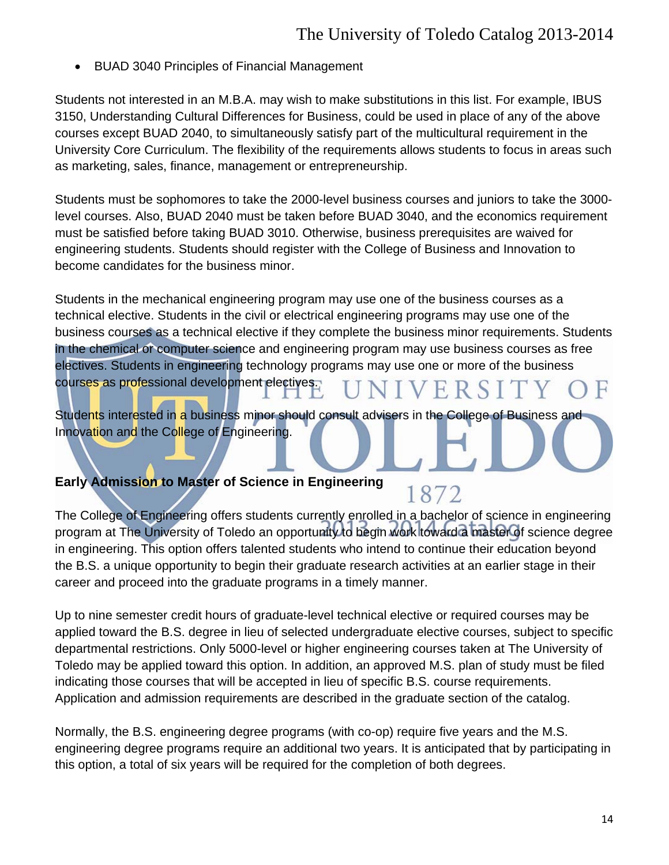BUAD 3040 Principles of Financial Management

Students not interested in an M.B.A. may wish to make substitutions in this list. For example, IBUS 3150, Understanding Cultural Differences for Business, could be used in place of any of the above courses except BUAD 2040, to simultaneously satisfy part of the multicultural requirement in the University Core Curriculum. The flexibility of the requirements allows students to focus in areas such as marketing, sales, finance, management or entrepreneurship.

Students must be sophomores to take the 2000-level business courses and juniors to take the 3000 level courses. Also, BUAD 2040 must be taken before BUAD 3040, and the economics requirement must be satisfied before taking BUAD 3010. Otherwise, business prerequisites are waived for engineering students. Students should register with the College of Business and Innovation to become candidates for the business minor.

Students in the mechanical engineering program may use one of the business courses as a technical elective. Students in the civil or electrical engineering programs may use one of the business courses as a technical elective if they complete the business minor requirements. Students in the chemical or computer science and engineering program may use business courses as free electives. Students in engineering technology programs may use one or more of the business electives. Charlessional development electives. E.

Students interested in a business minor should consult advisers in the College of Business and Innovation and the College of Engineering.

#### **Early Admission to Master of Science in Engineering**

The College of Engineering offers students currently enrolled in a bachelor of science in engineering program at The University of Toledo an opportunity to begin work toward a master of science degree in engineering. This option offers talented students who intend to continue their education beyond the B.S. a unique opportunity to begin their graduate research activities at an earlier stage in their career and proceed into the graduate programs in a timely manner.

1872

Up to nine semester credit hours of graduate-level technical elective or required courses may be applied toward the B.S. degree in lieu of selected undergraduate elective courses, subject to specific departmental restrictions. Only 5000-level or higher engineering courses taken at The University of Toledo may be applied toward this option. In addition, an approved M.S. plan of study must be filed indicating those courses that will be accepted in lieu of specific B.S. course requirements. Application and admission requirements are described in the graduate section of the catalog.

Normally, the B.S. engineering degree programs (with co-op) require five years and the M.S. engineering degree programs require an additional two years. It is anticipated that by participating in this option, a total of six years will be required for the completion of both degrees.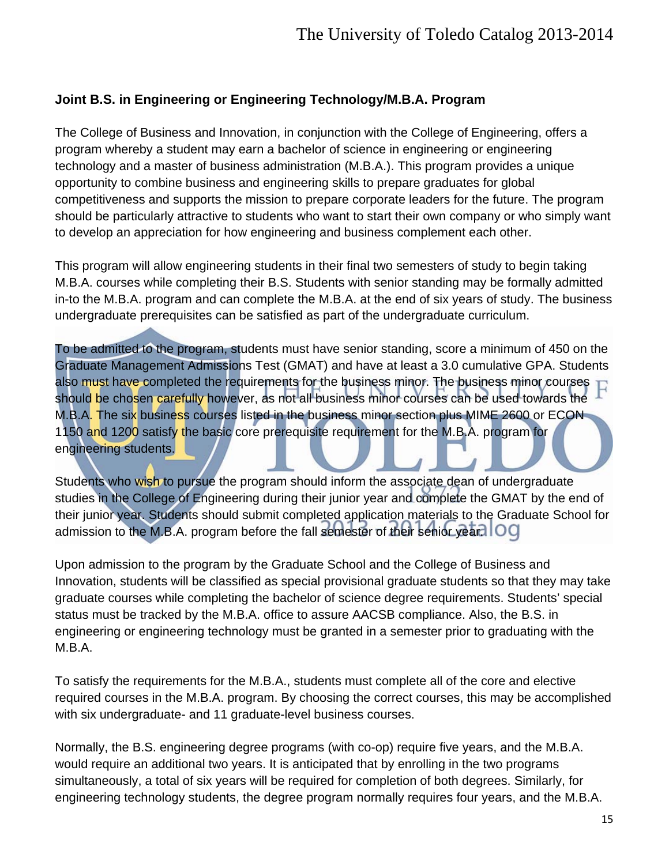#### **Joint B.S. in Engineering or Engineering Technology/M.B.A. Program**

The College of Business and Innovation, in conjunction with the College of Engineering, offers a program whereby a student may earn a bachelor of science in engineering or engineering technology and a master of business administration (M.B.A.). This program provides a unique opportunity to combine business and engineering skills to prepare graduates for global competitiveness and supports the mission to prepare corporate leaders for the future. The program should be particularly attractive to students who want to start their own company or who simply want to develop an appreciation for how engineering and business complement each other.

This program will allow engineering students in their final two semesters of study to begin taking M.B.A. courses while completing their B.S. Students with senior standing may be formally admitted in-to the M.B.A. program and can complete the M.B.A. at the end of six years of study. The business undergraduate prerequisites can be satisfied as part of the undergraduate curriculum.

To be admitted to the program, students must have senior standing, score a minimum of 450 on the Graduate Management Admissions Test (GMAT) and have at least a 3.0 cumulative GPA. Students also must have completed the requirements for the business minor. The business minor courses should be chosen carefully however, as not all business minor courses can be used towards the M.B.A. The six business courses listed in the business minor section plus MIME 2600 or ECON-1150 and 1200 satisfy the basic core prerequisite requirement for the M.B.A. program for engineering students.

Students who wish to pursue the program should inform the associate dean of undergraduate studies in the College of Engineering during their junior year and complete the GMAT by the end of their junior year. Students should submit completed application materials to the Graduate School for admission to the M.B.A. program before the fall semester of their senior year.  $100$ 

Upon admission to the program by the Graduate School and the College of Business and Innovation, students will be classified as special provisional graduate students so that they may take graduate courses while completing the bachelor of science degree requirements. Students' special status must be tracked by the M.B.A. office to assure AACSB compliance. Also, the B.S. in engineering or engineering technology must be granted in a semester prior to graduating with the M.B.A.

To satisfy the requirements for the M.B.A., students must complete all of the core and elective required courses in the M.B.A. program. By choosing the correct courses, this may be accomplished with six undergraduate- and 11 graduate-level business courses.

Normally, the B.S. engineering degree programs (with co-op) require five years, and the M.B.A. would require an additional two years. It is anticipated that by enrolling in the two programs simultaneously, a total of six years will be required for completion of both degrees. Similarly, for engineering technology students, the degree program normally requires four years, and the M.B.A.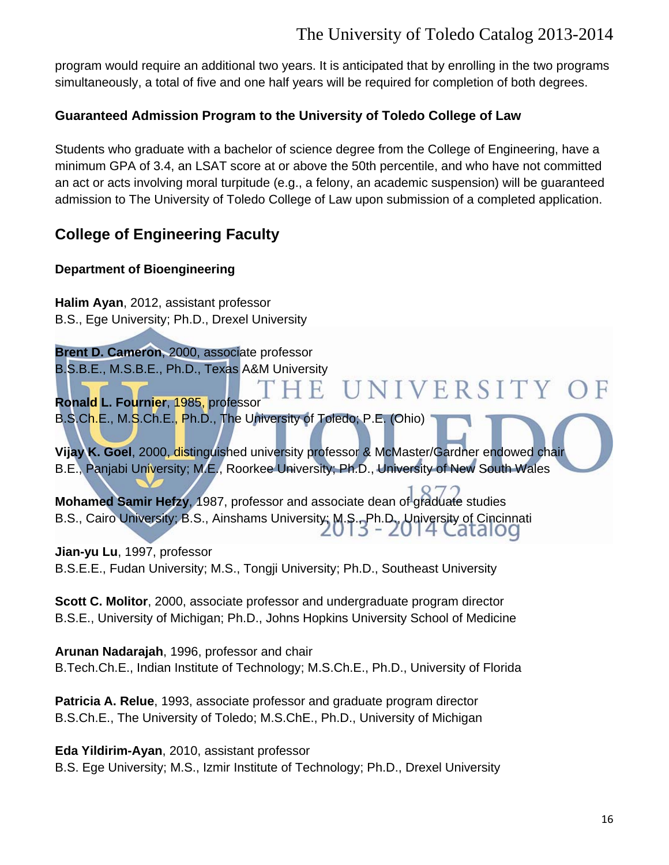program would require an additional two years. It is anticipated that by enrolling in the two programs simultaneously, a total of five and one half years will be required for completion of both degrees.

#### **Guaranteed Admission Program to the University of Toledo College of Law**

Students who graduate with a bachelor of science degree from the College of Engineering, have a minimum GPA of 3.4, an LSAT score at or above the 50th percentile, and who have not committed an act or acts involving moral turpitude (e.g., a felony, an academic suspension) will be guaranteed admission to The University of Toledo College of Law upon submission of a completed application.

### **College of Engineering Faculty**

#### **Department of Bioengineering**

**Halim Ayan**, 2012, assistant professor B.S., Ege University; Ph.D., Drexel University

**Brent D. Cameron**, 2000, associate professor B.S.B.E., M.S.B.E., Ph.D., Texas A&M University

UNIVERSITY **Ronald L. Fournier**, 1985, professor B.S.Ch.E., M.S.Ch.E., Ph.D., The University of Toledo; P.E. (Ohio)

**Vijay K. Goel**, 2000, distinguished university professor & McMaster/Gardner endowed chair B.E., Panjabi University; M.E., Roorkee University; Ph.D., University of New South Wales

**Mohamed Samir Hefzy**, 1987, professor and associate dean of graduate studies B.S., Cairo University; B.S., Ainshams University; M.S., Ph.D., University of Cincinnati Ididioù

**Jian-yu Lu**, 1997, professor B.S.E.E., Fudan University; M.S., Tongji University; Ph.D., Southeast University

**Scott C. Molitor**, 2000, associate professor and undergraduate program director B.S.E., University of Michigan; Ph.D., Johns Hopkins University School of Medicine

**Arunan Nadarajah**, 1996, professor and chair B.Tech.Ch.E., Indian Institute of Technology; M.S.Ch.E., Ph.D., University of Florida

**Patricia A. Relue**, 1993, associate professor and graduate program director B.S.Ch.E., The University of Toledo; M.S.ChE., Ph.D., University of Michigan

**Eda Yildirim-Ayan**, 2010, assistant professor

B.S. Ege University; M.S., Izmir Institute of Technology; Ph.D., Drexel University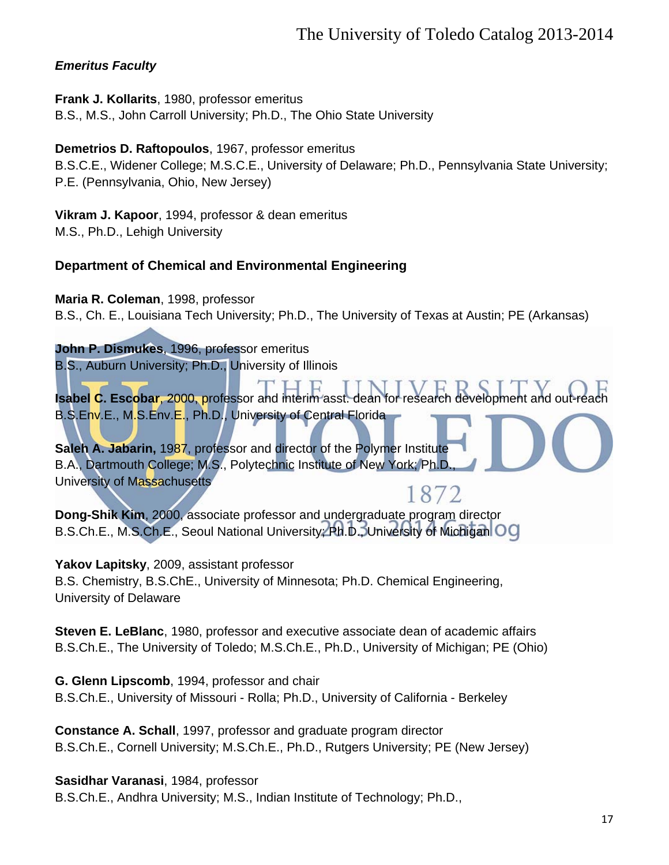#### *Emeritus Faculty*

**Frank J. Kollarits**, 1980, professor emeritus B.S., M.S., John Carroll University; Ph.D., The Ohio State University

#### **Demetrios D. Raftopoulos**, 1967, professor emeritus

B.S.C.E., Widener College; M.S.C.E., University of Delaware; Ph.D., Pennsylvania State University; P.E. (Pennsylvania, Ohio, New Jersey)

**Vikram J. Kapoor**, 1994, professor & dean emeritus

M.S., Ph.D., Lehigh University

#### **Department of Chemical and Environmental Engineering**

**Maria R. Coleman**, 1998, professor

B.S., Ch. E., Louisiana Tech University; Ph.D., The University of Texas at Austin; PE (Arkansas)

**John P. Dismukes**, 1996, professor emeritus B.S., Auburn University; Ph.D., University of Illinois

Ι **Isabel C. Escobar**, 2000, professor and interim asst. dean for research development and out-reach B.S.Env.E., M.S.Env.E., Ph.D., University of Central Florida

**Saleh A. Jabarin,** 1987, professor and director of the Polymer Institute B.A., Dartmouth College; M.S., Polytechnic Institute of New York; Ph.D. University of Massachusetts 1872

**Dong-Shik Kim**, 2000, associate professor and undergraduate program director B.S.Ch.E., M.S.Ch.E., Seoul National University; Ph.D., University of Michigan OC

**Yakov Lapitsky**, 2009, assistant professor B.S. Chemistry, B.S.ChE., University of Minnesota; Ph.D. Chemical Engineering, University of Delaware

**Steven E. LeBlanc**, 1980, professor and executive associate dean of academic affairs B.S.Ch.E., The University of Toledo; M.S.Ch.E., Ph.D., University of Michigan; PE (Ohio)

**G. Glenn Lipscomb**, 1994, professor and chair B.S.Ch.E., University of Missouri - Rolla; Ph.D., University of California - Berkeley

**Constance A. Schall**, 1997, professor and graduate program director B.S.Ch.E., Cornell University; M.S.Ch.E., Ph.D., Rutgers University; PE (New Jersey)

**Sasidhar Varanasi**, 1984, professor

B.S.Ch.E., Andhra University; M.S., Indian Institute of Technology; Ph.D.,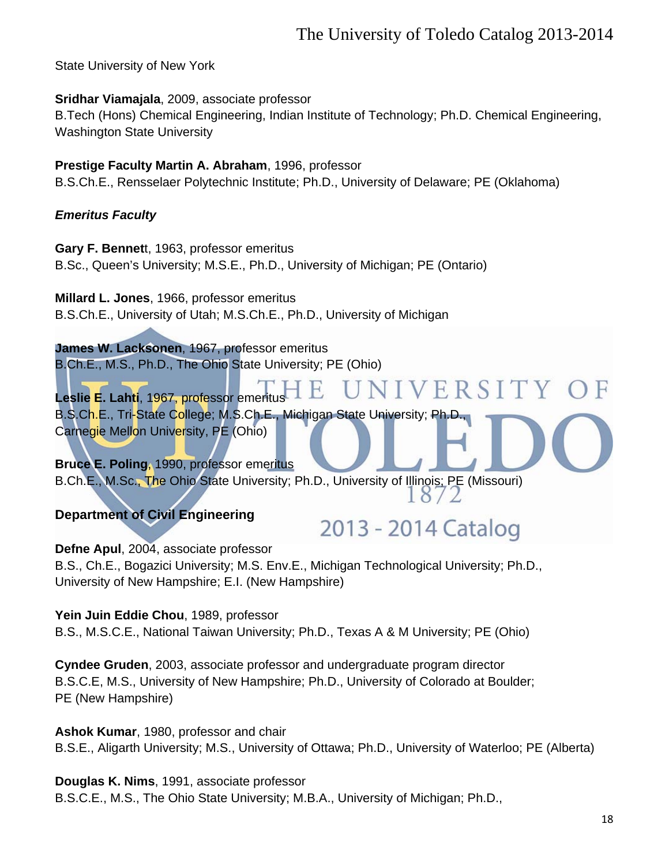State University of New York

**Sridhar Viamajala**, 2009, associate professor

B.Tech (Hons) Chemical Engineering, Indian Institute of Technology; Ph.D. Chemical Engineering, Washington State University

**Prestige Faculty Martin A. Abraham**, 1996, professor

B.S.Ch.E., Rensselaer Polytechnic Institute; Ph.D., University of Delaware; PE (Oklahoma)

#### *Emeritus Faculty*

**Gary F. Bennet**t, 1963, professor emeritus B.Sc., Queen's University; M.S.E., Ph.D., University of Michigan; PE (Ontario)

**Millard L. Jones**, 1966, professor emeritus B.S.Ch.E., University of Utah; M.S.Ch.E., Ph.D., University of Michigan

**James W. Lacksonen**, 1967, professor emeritus B.Ch.E., M.S., Ph.D., The Ohio State University; PE (Ohio)

١ VERSITY **Leslie E. Lahti**, 1967, professor emeritus B.S.Ch.E., Tri-State College; M.S.Ch.E., Michigan State University; Ph.D. Carnegie Mellon University, PE (Ohio)

**Bruce E. Poling**, 1990, professor emeritus B.Ch.E., M.Sc., The Ohio State University; Ph.D., University of Illinois; PE (Missouri)

**Department of Civil Engineering** 

## 2013 - 2014 Catalog

 $18/2$ 

**Defne Apul**, 2004, associate professor B.S., Ch.E., Bogazici University; M.S. Env.E., Michigan Technological University; Ph.D.,

University of New Hampshire; E.I. (New Hampshire)

**Yein Juin Eddie Chou**, 1989, professor B.S., M.S.C.E., National Taiwan University; Ph.D., Texas A & M University; PE (Ohio)

**Cyndee Gruden**, 2003, associate professor and undergraduate program director B.S.C.E, M.S., University of New Hampshire; Ph.D., University of Colorado at Boulder; PE (New Hampshire)

**Ashok Kumar**, 1980, professor and chair B.S.E., Aligarth University; M.S., University of Ottawa; Ph.D., University of Waterloo; PE (Alberta)

**Douglas K. Nims**, 1991, associate professor B.S.C.E., M.S., The Ohio State University; M.B.A., University of Michigan; Ph.D.,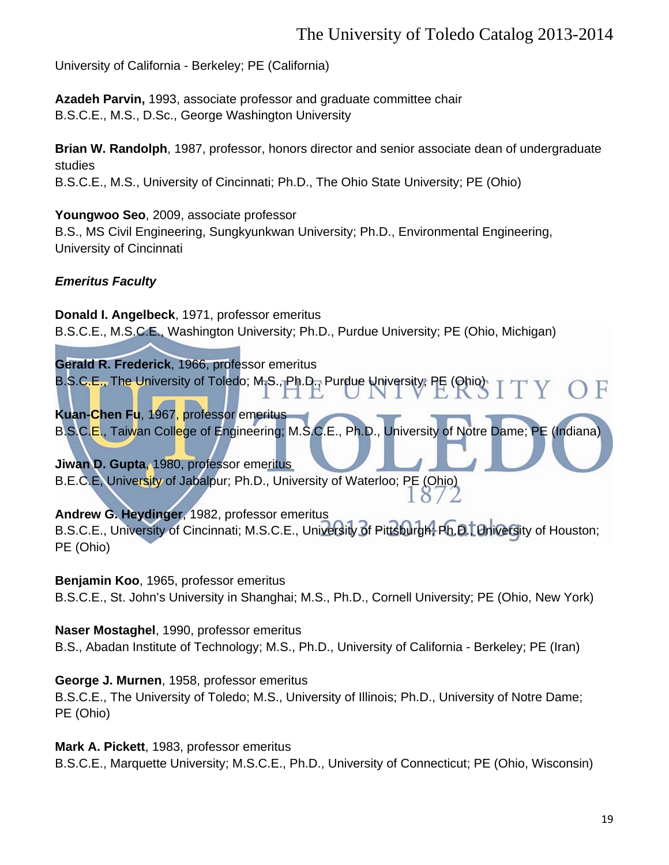University of California - Berkeley; PE (California)

**Azadeh Parvin,** 1993, associate professor and graduate committee chair B.S.C.E., M.S., D.Sc., George Washington University

**Brian W. Randolph**, 1987, professor, honors director and senior associate dean of undergraduate studies

B.S.C.E., M.S., University of Cincinnati; Ph.D., The Ohio State University; PE (Ohio)

**Youngwoo Seo**, 2009, associate professor B.S., MS Civil Engineering, Sungkyunkwan University; Ph.D., Environmental Engineering, University of Cincinnati

#### *Emeritus Faculty*

ľ

**Donald I. Angelbeck**, 1971, professor emeritus B.S.C.E., M.S.C.E., Washington University; Ph.D., Purdue University; PE (Ohio, Michigan)

**Gerald R. Frederick**, 1966, professor emeritus B.S.C.E., The University of Toledo; M.S., Ph.D., Purdue University; PE (Ohio) I

**Kuan-Chen Fu**, 1967, professor emeritus B.S.C.E., Taiwan College of Engineering; M.S.C.E., Ph.D., University of Notre Dame; PE (Indiana)

**Jiwan D. Gupta**, 1980, professor emeritus B.E.C.E, University of Jabalpur; Ph.D., University of Waterloo; PE (Ohio)

**Andrew G. Heydinger**, 1982, professor emeritus B.S.C.E., University of Cincinnati; M.S.C.E., University of Pittsburgh; Ph.D., University of Houston; PE (Ohio)

**Benjamin Koo**, 1965, professor emeritus

B.S.C.E., St. John's University in Shanghai; M.S., Ph.D., Cornell University; PE (Ohio, New York)

**Naser Mostaghel**, 1990, professor emeritus

B.S., Abadan Institute of Technology; M.S., Ph.D., University of California - Berkeley; PE (Iran)

**George J. Murnen**, 1958, professor emeritus

B.S.C.E., The University of Toledo; M.S., University of Illinois; Ph.D., University of Notre Dame; PE (Ohio)

**Mark A. Pickett**, 1983, professor emeritus B.S.C.E., Marquette University; M.S.C.E., Ph.D., University of Connecticut; PE (Ohio, Wisconsin)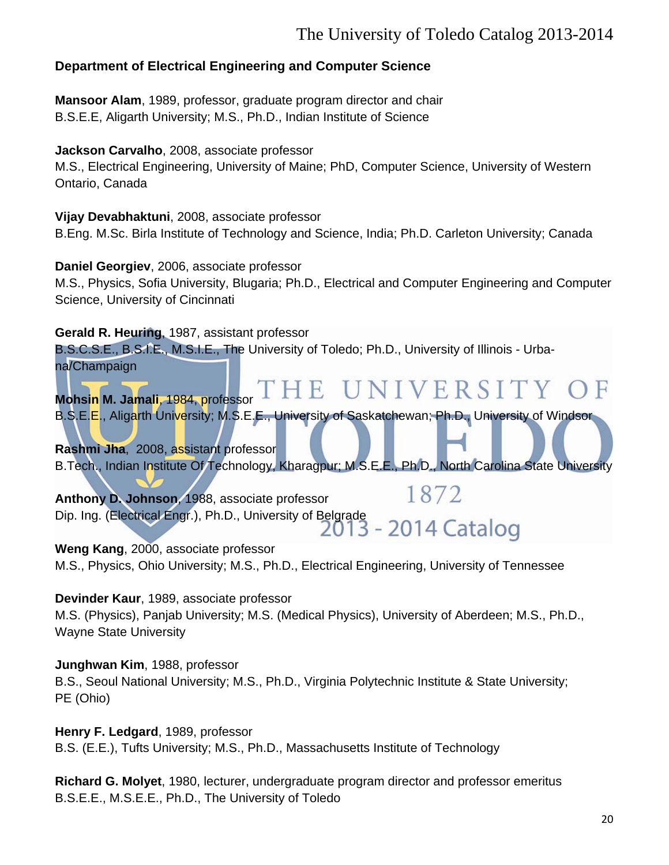#### **Department of Electrical Engineering and Computer Science**

**Mansoor Alam**, 1989, professor, graduate program director and chair B.S.E.E, Aligarth University; M.S., Ph.D., Indian Institute of Science

#### **Jackson Carvalho**, 2008, associate professor

M.S., Electrical Engineering, University of Maine; PhD, Computer Science, University of Western Ontario, Canada

**Vijay Devabhaktuni**, 2008, associate professor B.Eng. M.Sc. Birla Institute of Technology and Science, India; Ph.D. Carleton University; Canada

**Daniel Georgiev**, 2006, associate professor M.S., Physics, Sofia University, Blugaria; Ph.D., Electrical and Computer Engineering and Computer Science, University of Cincinnati

**Gerald R. Heuring**, 1987, assistant professor B.S.C.S.E., B.S.I.E., M.S.I.E., The University of Toledo; Ph.D., University of Illinois - Urbana/Champaign

Ι VIVERSITY ( **Mohsin M. Jamali**, 1984, professor B.S.E.E., Aligarth University; M.S.E.E., University of Saskatchewan; Ph.D., University of Windsor

**Rashmi Jha**, 2008, assistant professor B.Tech., Indian Institute Of Technology, Kharagpur; M.S.E.E., Ph.D., North Carolina State University

1872 **Anthony D. Johnson**, 1988, associate professor Dip. Ing. (Electrical Engr.), Ph.D., University of Belgrade

**Weng Kang**, 2000, associate professor M.S., Physics, Ohio University; M.S., Ph.D., Electrical Engineering, University of Tennessee

**Devinder Kaur**, 1989, associate professor M.S. (Physics), Panjab University; M.S. (Medical Physics), University of Aberdeen; M.S., Ph.D., Wayne State University

**Junghwan Kim**, 1988, professor B.S., Seoul National University; M.S., Ph.D., Virginia Polytechnic Institute & State University; PE (Ohio)

**Henry F. Ledgard**, 1989, professor B.S. (E.E.), Tufts University; M.S., Ph.D., Massachusetts Institute of Technology

**Richard G. Molyet**, 1980, lecturer, undergraduate program director and professor emeritus B.S.E.E., M.S.E.E., Ph.D., The University of Toledo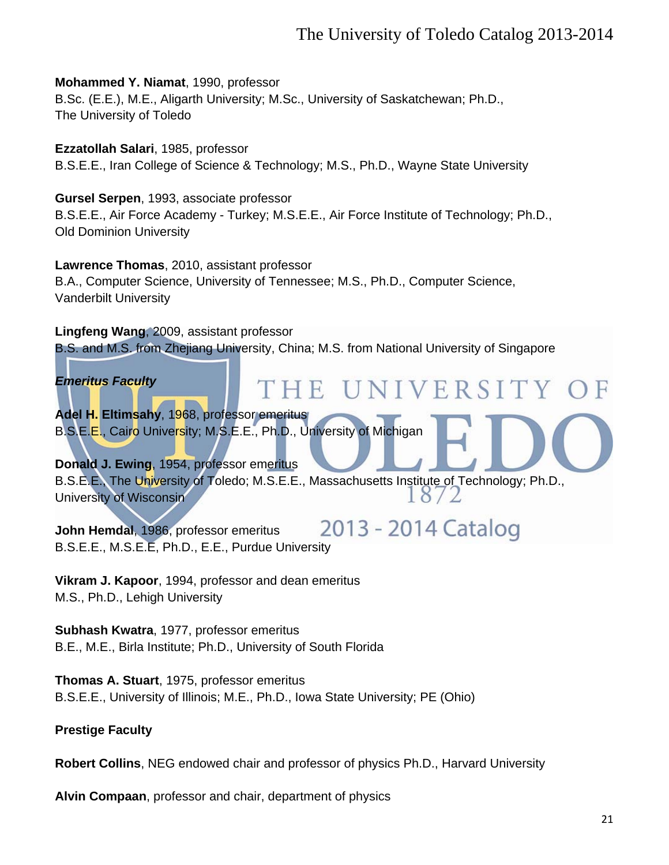#### **Mohammed Y. Niamat**, 1990, professor

B.Sc. (E.E.), M.E., Aligarth University; M.Sc., University of Saskatchewan; Ph.D., The University of Toledo

**Ezzatollah Salari**, 1985, professor B.S.E.E., Iran College of Science & Technology; M.S., Ph.D., Wayne State University

#### **Gursel Serpen**, 1993, associate professor

B.S.E.E., Air Force Academy - Turkey; M.S.E.E., Air Force Institute of Technology; Ph.D., Old Dominion University

**Lawrence Thomas**, 2010, assistant professor B.A., Computer Science, University of Tennessee; M.S., Ph.D., Computer Science, Vanderbilt University

**Lingfeng Wang**, 2009, assistant professor B.S. and M.S. from Zhejiang University, China; M.S. from National University of Singapore

THE UNIVERSITY

#### *Emeritus Faculty*

I

**Adel H. Eltimsahy**, 1968, professor emeritus B.S.E.E., Cairo University; M.S.E.E., Ph.D., University of Michigan

**Donald J. Ewing**, 1954, professor emeritus B.S.E.E., The University of Toledo; M.S.E.E., Massachusetts Institute of Technology; Ph.D.,  $8/2$ University of Wisconsin

2013 - 2014 Catalog **John Hemdal**, 1986, professor emeritus B.S.E.E., M.S.E.E, Ph.D., E.E., Purdue University

**Vikram J. Kapoor**, 1994, professor and dean emeritus M.S., Ph.D., Lehigh University

**Subhash Kwatra**, 1977, professor emeritus B.E., M.E., Birla Institute; Ph.D., University of South Florida

**Thomas A. Stuart**, 1975, professor emeritus B.S.E.E., University of Illinois; M.E., Ph.D., Iowa State University; PE (Ohio)

#### **Prestige Faculty**

**Robert Collins**, NEG endowed chair and professor of physics Ph.D., Harvard University

**Alvin Compaan**, professor and chair, department of physics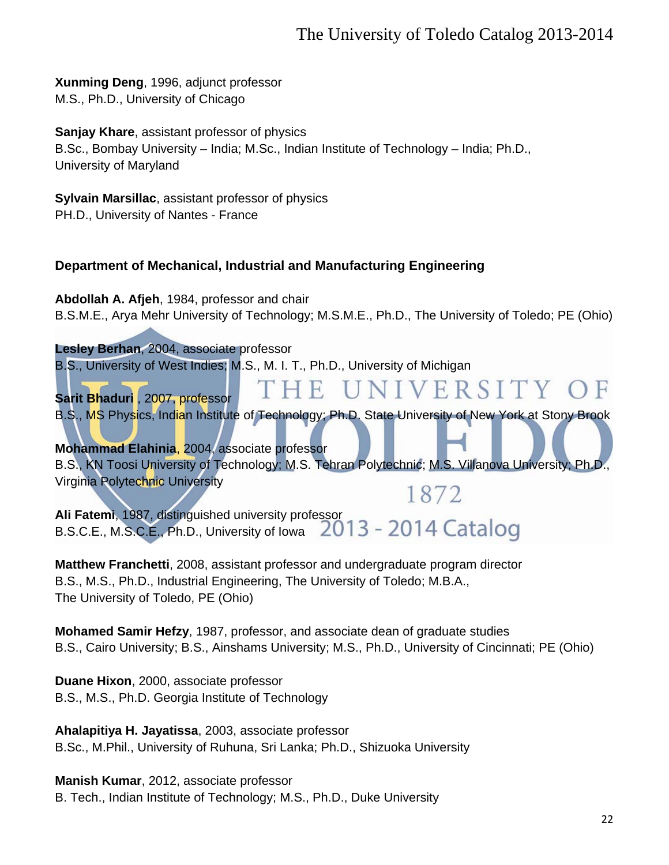**Xunming Deng**, 1996, adjunct professor M.S., Ph.D., University of Chicago

**Sanjay Khare**, assistant professor of physics B.Sc., Bombay University – India; M.Sc., Indian Institute of Technology – India; Ph.D., University of Maryland

**Sylvain Marsillac**, assistant professor of physics PH.D., University of Nantes - France

#### **Department of Mechanical, Industrial and Manufacturing Engineering**

**Abdollah A. Afjeh**, 1984, professor and chair B.S.M.E., Arya Mehr University of Technology; M.S.M.E., Ph.D., The University of Toledo; PE (Ohio)

**Lesley Berhan**, 2004, associate professor B.S., University of West Indies; M.S., M. I. T., Ph.D., University of Michigan

Ι F. UNIVERSITY **Sarit Bhaduri** , 2007, professor B.S., MS Physics, Indian Institute of Technology; Ph.D. State University of New York at Stony Brook

**Mohammad Elahinia**, 2004, associate professor B.S., KN Toosi University of Technology; M.S. Tehran Polytechnic; M.S. Villanova University; Ph.D., Virginia Polytechnic University 1872

**Ali Fatemi**, 1987, distinguished university professor B.S.C.E., M.S.C.E., Ph.D., University of Iowa 2013 - 2014 Catalog

**Matthew Franchetti**, 2008, assistant professor and undergraduate program director B.S., M.S., Ph.D., Industrial Engineering, The University of Toledo; M.B.A., The University of Toledo, PE (Ohio)

**Mohamed Samir Hefzy**, 1987, professor, and associate dean of graduate studies B.S., Cairo University; B.S., Ainshams University; M.S., Ph.D., University of Cincinnati; PE (Ohio)

**Duane Hixon**, 2000, associate professor B.S., M.S., Ph.D. Georgia Institute of Technology

**Ahalapitiya H. Jayatissa**, 2003, associate professor B.Sc., M.Phil., University of Ruhuna, Sri Lanka; Ph.D., Shizuoka University

**Manish Kumar**, 2012, associate professor B. Tech., Indian Institute of Technology; M.S., Ph.D., Duke University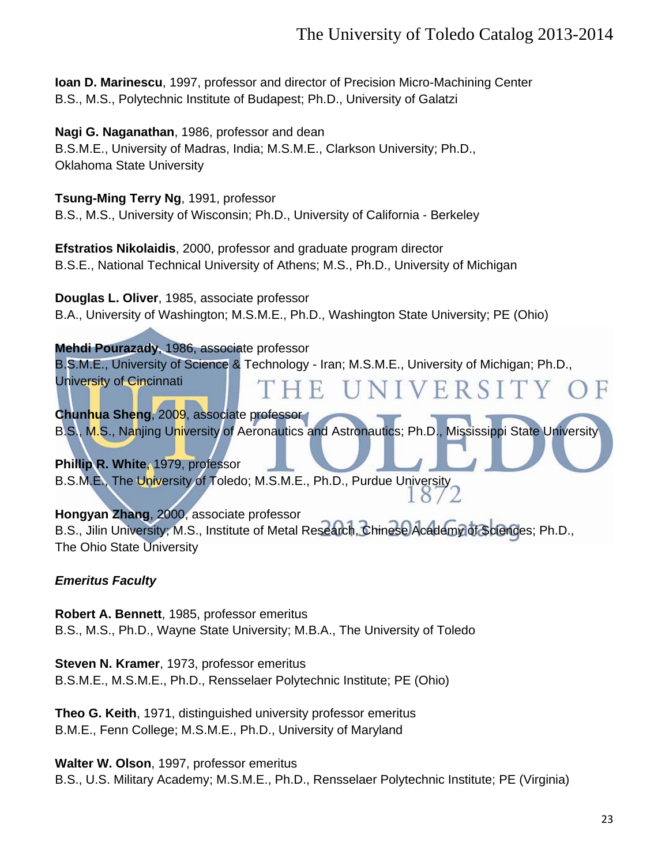**JIVERSI** 

**Ioan D. Marinescu**, 1997, professor and director of Precision Micro-Machining Center B.S., M.S., Polytechnic Institute of Budapest; Ph.D., University of Galatzi

**Nagi G. Naganathan**, 1986, professor and dean B.S.M.E., University of Madras, India; M.S.M.E., Clarkson University; Ph.D., Oklahoma State University

**Tsung-Ming Terry Ng**, 1991, professor B.S., M.S., University of Wisconsin; Ph.D., University of California - Berkeley

**Efstratios Nikolaidis**, 2000, professor and graduate program director B.S.E., National Technical University of Athens; M.S., Ph.D., University of Michigan

**Douglas L. Oliver**, 1985, associate professor B.A., University of Washington; M.S.M.E., Ph.D., Washington State University; PE (Ohio)

**Mehdi Pourazady**, 1986, associate professor

B.S.M.E., University of Science & Technology - Iran; M.S.M.E., University of Michigan; Ph.D.,

University of Cincinnati

**Chunhua Sheng**, 2009, associate professor B.S., M.S., Nanjing University of Aeronautics and Astronautics; Ph.D., Mississippi State University

E O

**Phillip R. White**, 1979, professor B.S.M.E., The University of Toledo; M.S.M.E., Ph.D., Purdue Universit

**Hongyan Zhang**, 2000, associate professor B.S., Jilin University; M.S., Institute of Metal Research, Chinese Academy of Sciences; Ph.D., The Ohio State University

#### *Emeritus Faculty*

**Robert A. Bennett**, 1985, professor emeritus B.S., M.S., Ph.D., Wayne State University; M.B.A., The University of Toledo

**Steven N. Kramer**, 1973, professor emeritus B.S.M.E., M.S.M.E., Ph.D., Rensselaer Polytechnic Institute; PE (Ohio)

**Theo G. Keith**, 1971, distinguished university professor emeritus B.M.E., Fenn College; M.S.M.E., Ph.D., University of Maryland

**Walter W. Olson**, 1997, professor emeritus B.S., U.S. Military Academy; M.S.M.E., Ph.D., Rensselaer Polytechnic Institute; PE (Virginia)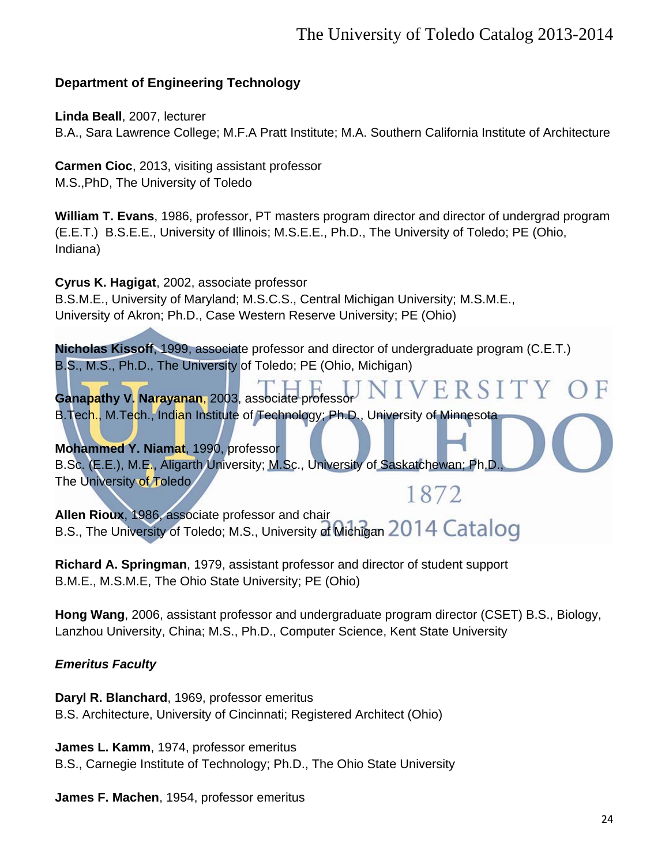#### **Department of Engineering Technology**

**Linda Beall**, 2007, lecturer B.A., Sara Lawrence College; M.F.A Pratt Institute; M.A. Southern California Institute of Architecture

**Carmen Cioc**, 2013, visiting assistant professor M.S.,PhD, The University of Toledo

**William T. Evans**, 1986, professor, PT masters program director and director of undergrad program (E.E.T.) B.S.E.E., University of Illinois; M.S.E.E., Ph.D., The University of Toledo; PE (Ohio, Indiana)

**Cyrus K. Hagigat**, 2002, associate professor B.S.M.E., University of Maryland; M.S.C.S., Central Michigan University; M.S.M.E., University of Akron; Ph.D., Case Western Reserve University; PE (Ohio)

**Nicholas Kissoff**, 1999, associate professor and director of undergraduate program (C.E.T.) B.S., M.S., Ph.D., The University of Toledo; PE (Ohio, Michigan)

 $H_{\rm c}$ R<sub>SI</sub> **Ganapathy V. Narayanan**, 2003, associate professor B.Tech., M.Tech., Indian Institute of Technology; Ph.D., University of Minnesota

**Mohammed Y. Niamat**, 1990, professor B.Sc. (E.E.), M.E., Aligarth University; M.Sc., University of Saskatchewan; Ph.D. The University of Toledo 1872

**Allen Rioux**, 1986, associate professor and chair B.S., The University of Toledo; M.S., University of Michigan 2014 Catalog

**Richard A. Springman**, 1979, assistant professor and director of student support B.M.E., M.S.M.E, The Ohio State University; PE (Ohio)

**Hong Wang**, 2006, assistant professor and undergraduate program director (CSET) B.S., Biology, Lanzhou University, China; M.S., Ph.D., Computer Science, Kent State University

#### *Emeritus Faculty*

Ι

**Daryl R. Blanchard**, 1969, professor emeritus B.S. Architecture, University of Cincinnati; Registered Architect (Ohio)

**James L. Kamm**, 1974, professor emeritus B.S., Carnegie Institute of Technology; Ph.D., The Ohio State University

**James F. Machen**, 1954, professor emeritus